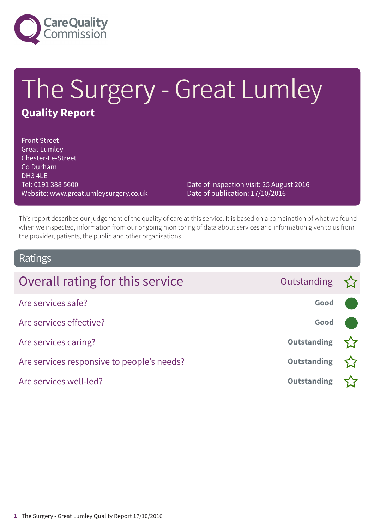

# The Surgery - Great Lumley **Quality Report**

Front Street Great Lumley Chester-Le-Street Co Durham DH3 4LE Tel: 0191 388 5600 Website: www.greatlumleysurgery.co.uk

Date of inspection visit: 25 August 2016 Date of publication: 17/10/2016

This report describes our judgement of the quality of care at this service. It is based on a combination of what we found when we inspected, information from our ongoing monitoring of data about services and information given to us from the provider, patients, the public and other organisations.

### Ratings

| Overall rating for this service            | Outstanding $\sum$ |  |
|--------------------------------------------|--------------------|--|
| Are services safe?                         | Good               |  |
| Are services effective?                    | Good               |  |
| Are services caring?                       | <b>Outstanding</b> |  |
| Are services responsive to people's needs? | <b>Outstanding</b> |  |
| Are services well-led?                     | <b>Outstanding</b> |  |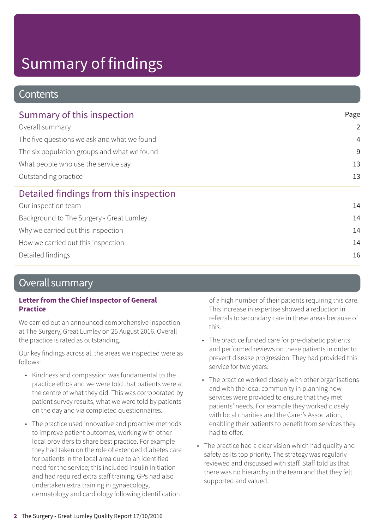### **Contents**

| Summary of this inspection                  | Page           |  |
|---------------------------------------------|----------------|--|
| Overall summary                             | $\overline{2}$ |  |
| The five questions we ask and what we found | $\overline{4}$ |  |
| The six population groups and what we found | 9              |  |
| What people who use the service say         | 13             |  |
| Outstanding practice                        | 13             |  |
| Detailed findings from this inspection      |                |  |
| Our inspection team                         | 14             |  |
| Background to The Surgery - Great Lumley    | 14             |  |
| Why we carried out this inspection          | 14             |  |
| How we carried out this inspection          | 14             |  |
| Detailed findings                           | 16             |  |

### Overall summary

### **Letter from the Chief Inspector of General Practice**

We carried out an announced comprehensive inspection at The Surgery, Great Lumley on 25 August 2016. Overall the practice is rated as outstanding.

Our key findings across all the areas we inspected were as follows:

- Kindness and compassion was fundamental to the practice ethos and we were told that patients were at the centre of what they did. This was corroborated by patient survey results, what we were told by patients on the day and via completed questionnaires.
- The practice used innovative and proactive methods to improve patient outcomes, working with other local providers to share best practice. For example they had taken on the role of extended diabetes care for patients in the local area due to an identified need for the service; this included insulin initiation and had required extra staff training. GPs had also undertaken extra training in gynaecology, dermatology and cardiology following identification

of a high number of their patients requiring this care. This increase in expertise showed a reduction in referrals to secondary care in these areas because of this.

- The practice funded care for pre-diabetic patients and performed reviews on these patients in order to prevent disease progression. They had provided this service for two years.
- The practice worked closely with other organisations and with the local community in planning how services were provided to ensure that they met patients' needs. For example they worked closely with local charities and the Carer's Association, enabling their patients to benefit from services they had to offer.
- The practice had a clear vision which had quality and safety as its top priority. The strategy was regularly reviewed and discussed with staff. Staff told us that there was no hierarchy in the team and that they felt supported and valued.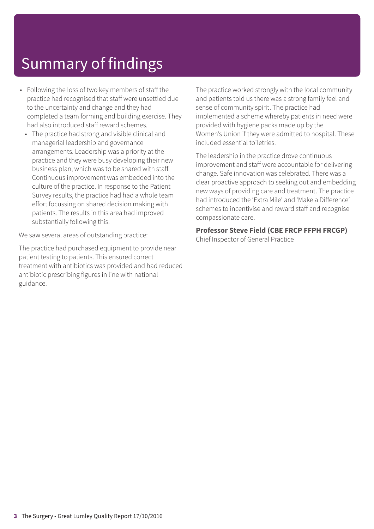- Following the loss of two key members of staff the practice had recognised that staff were unsettled due to the uncertainty and change and they had completed a team forming and building exercise. They had also introduced staff reward schemes.
	- The practice had strong and visible clinical and managerial leadership and governance arrangements. Leadership was a priority at the practice and they were busy developing their new business plan, which was to be shared with staff. Continuous improvement was embedded into the culture of the practice. In response to the Patient Survey results, the practice had had a whole team effort focussing on shared decision making with patients. The results in this area had improved substantially following this.

We saw several areas of outstanding practice:

The practice had purchased equipment to provide near patient testing to patients. This ensured correct treatment with antibiotics was provided and had reduced antibiotic prescribing figures in line with national guidance.

The practice worked strongly with the local community and patients told us there was a strong family feel and sense of community spirit. The practice had implemented a scheme whereby patients in need were provided with hygiene packs made up by the Women's Union if they were admitted to hospital. These included essential toiletries.

The leadership in the practice drove continuous improvement and staff were accountable for delivering change. Safe innovation was celebrated. There was a clear proactive approach to seeking out and embedding new ways of providing care and treatment. The practice had introduced the 'Extra Mile' and 'Make a Difference' schemes to incentivise and reward staff and recognise compassionate care.

### **Professor Steve Field (CBE FRCP FFPH FRCGP)**

Chief Inspector of General Practice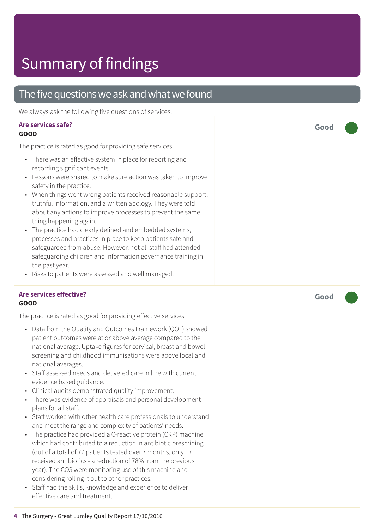### The five questions we ask and what we found

We always ask the following five questions of services.

#### **Are services safe? GOOD**

The practice is rated as good for providing safe services.

- There was an effective system in place for reporting and recording significant events
- Lessons were shared to make sure action was taken to improve safety in the practice.
- When things went wrong patients received reasonable support, truthful information, and a written apology. They were told about any actions to improve processes to prevent the same thing happening again.
- The practice had clearly defined and embedded systems, processes and practices in place to keep patients safe and safeguarded from abuse. However, not all staff had attended safeguarding children and information governance training in the past year.
- Risks to patients were assessed and well managed.

#### **Are services effective? GOOD**

The practice is rated as good for providing effective services.

- Data from the Quality and Outcomes Framework (QOF) showed patient outcomes were at or above average compared to the national average. Uptake figures for cervical, breast and bowel screening and childhood immunisations were above local and national averages.
- Staff assessed needs and delivered care in line with current evidence based guidance.
- Clinical audits demonstrated quality improvement.
- There was evidence of appraisals and personal development plans for all staff.
- Staff worked with other health care professionals to understand and meet the range and complexity of patients' needs.
- The practice had provided a C-reactive protein (CRP) machine which had contributed to a reduction in antibiotic prescribing (out of a total of 77 patients tested over 7 months, only 17 received antibiotics - a reduction of 78% from the previous year). The CCG were monitoring use of this machine and considering rolling it out to other practices.
- Staff had the skills, knowledge and experience to deliver effective care and treatment.

**Good –––**

**Good –––**

**4** The Surgery - Great Lumley Quality Report 17/10/2016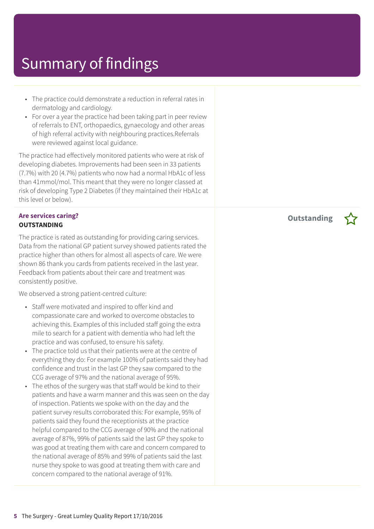- The practice could demonstrate a reduction in referral rates in dermatology and cardiology.
- For over a year the practice had been taking part in peer review of referrals to ENT, orthopaedics, gynaecology and other areas of high referral activity with neighbouring practices.Referrals were reviewed against local guidance.

The practice had effectively monitored patients who were at risk of developing diabetes. Improvements had been seen in 33 patients (7.7%) with 20 (4.7%) patients who now had a normal HbA1c of less than 41mmol/mol. This meant that they were no longer classed at risk of developing Type 2 Diabetes (if they maintained their HbA1c at this level or below).

### **Are services caring? OUTSTANDING**

The practice is rated as outstanding for providing caring services. Data from the national GP patient survey showed patients rated the practice higher than others for almost all aspects of care. We were shown 86 thank you cards from patients received in the last year. Feedback from patients about their care and treatment was consistently positive.

We observed a strong patient-centred culture:

- Staff were motivated and inspired to offer kind and compassionate care and worked to overcome obstacles to achieving this. Examples of this included staff going the extra mile to search for a patient with dementia who had left the practice and was confused, to ensure his safety.
- The practice told us that their patients were at the centre of everything they do: For example 100% of patients said they had confidence and trust in the last GP they saw compared to the CCG average of 97% and the national average of 95%.
- The ethos of the surgery was that staff would be kind to their patients and have a warm manner and this was seen on the day of inspection. Patients we spoke with on the day and the patient survey results corroborated this: For example, 95% of patients said they found the receptionists at the practice helpful compared to the CCG average of 90% and the national average of 87%, 99% of patients said the last GP they spoke to was good at treating them with care and concern compared to the national average of 85% and 99% of patients said the last nurse they spoke to was good at treating them with care and concern compared to the national average of 91%.

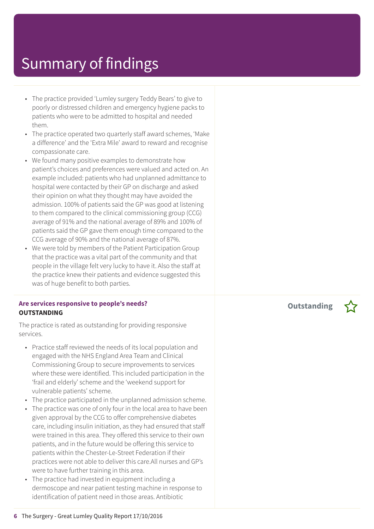- The practice provided 'Lumley surgery Teddy Bears' to give to poorly or distressed children and emergency hygiene packs to patients who were to be admitted to hospital and needed them.
- The practice operated two quarterly staff award schemes, 'Make a difference' and the 'Extra Mile' award to reward and recognise compassionate care.
- We found many positive examples to demonstrate how patient's choices and preferences were valued and acted on. An example included: patients who had unplanned admittance to hospital were contacted by their GP on discharge and asked their opinion on what they thought may have avoided the admission. 100% of patients said the GP was good at listening to them compared to the clinical commissioning group (CCG) average of 91% and the national average of 89% and 100% of patients said the GP gave them enough time compared to the CCG average of 90% and the national average of 87%.
- We were told by members of the Patient Participation Group that the practice was a vital part of the community and that people in the village felt very lucky to have it. Also the staff at the practice knew their patients and evidence suggested this was of huge benefit to both parties.

#### **Are services responsive to people's needs? OUTSTANDING**

The practice is rated as outstanding for providing responsive services.

- Practice staff reviewed the needs of its local population and engaged with the NHS England Area Team and Clinical Commissioning Group to secure improvements to services where these were identified. This included participation in the 'frail and elderly' scheme and the 'weekend support for vulnerable patients' scheme.
- The practice participated in the unplanned admission scheme.
- The practice was one of only four in the local area to have been given approval by the CCG to offer comprehensive diabetes care, including insulin initiation, as they had ensured that staff were trained in this area. They offered this service to their own patients, and in the future would be offering this service to patients within the Chester-Le-Street Federation if their practices were not able to deliver this care.All nurses and GP's were to have further training in this area.
- The practice had invested in equipment including a dermoscope and near patient testing machine in response to identification of patient need in those areas. Antibiotic

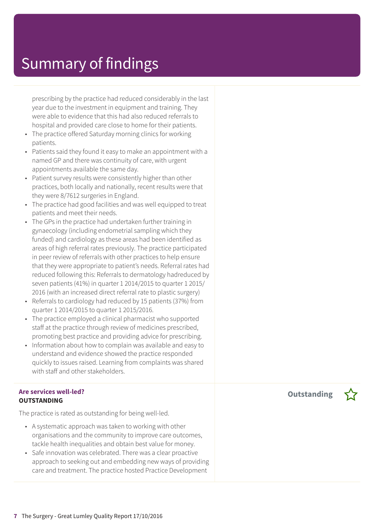prescribing by the practice had reduced considerably in the last year due to the investment in equipment and training. They were able to evidence that this had also reduced referrals to hospital and provided care close to home for their patients.

- The practice offered Saturday morning clinics for working patients.
- Patients said they found it easy to make an appointment with a named GP and there was continuity of care, with urgent appointments available the same day.
- Patient survey results were consistently higher than other practices, both locally and nationally, recent results were that they were 8/7612 surgeries in England.
- The practice had good facilities and was well equipped to treat patients and meet their needs.
- The GPs in the practice had undertaken further training in gynaecology (including endometrial sampling which they funded) and cardiology as these areas had been identified as areas of high referral rates previously. The practice participated in peer review of referrals with other practices to help ensure that they were appropriate to patient's needs. Referral rates had reduced following this: Referrals to dermatology hadreduced by seven patients (41%) in quarter 1 2014/2015 to quarter 1 2015/ 2016 (with an increased direct referral rate to plastic surgery)
- Referrals to cardiology had reduced by 15 patients (37%) from quarter 1 2014/2015 to quarter 1 2015/2016.
- The practice employed a clinical pharmacist who supported staff at the practice through review of medicines prescribed, promoting best practice and providing advice for prescribing.
- Information about how to complain was available and easy to understand and evidence showed the practice responded quickly to issues raised. Learning from complaints was shared with staff and other stakeholders.

### **Are services well-led? OUTSTANDING**

The practice is rated as outstanding for being well-led.

- A systematic approach was taken to working with other organisations and the community to improve care outcomes, tackle health inequalities and obtain best value for money.
- Safe innovation was celebrated. There was a clear proactive approach to seeking out and embedding new ways of providing care and treatment. The practice hosted Practice Development

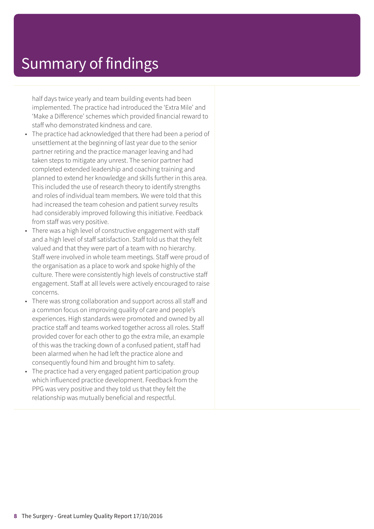half days twice yearly and team building events had been implemented. The practice had introduced the 'Extra Mile' and 'Make a Difference' schemes which provided financial reward to staff who demonstrated kindness and care.

- The practice had acknowledged that there had been a period of unsettlement at the beginning of last year due to the senior partner retiring and the practice manager leaving and had taken steps to mitigate any unrest. The senior partner had completed extended leadership and coaching training and planned to extend her knowledge and skills further in this area. This included the use of research theory to identify strengths and roles of individual team members. We were told that this had increased the team cohesion and patient survey results had considerably improved following this initiative. Feedback from staff was very positive.
- There was a high level of constructive engagement with staff and a high level of staff satisfaction. Staff told us that they felt valued and that they were part of a team with no hierarchy. Staff were involved in whole team meetings. Staff were proud of the organisation as a place to work and spoke highly of the culture. There were consistently high levels of constructive staff engagement. Staff at all levels were actively encouraged to raise concerns.
- There was strong collaboration and support across all staff and a common focus on improving quality of care and people's experiences. High standards were promoted and owned by all practice staff and teams worked together across all roles. Staff provided cover for each other to go the extra mile, an example of this was the tracking down of a confused patient, staff had been alarmed when he had left the practice alone and consequently found him and brought him to safety.
- The practice had a very engaged patient participation group which influenced practice development. Feedback from the PPG was very positive and they told us that they felt the relationship was mutually beneficial and respectful.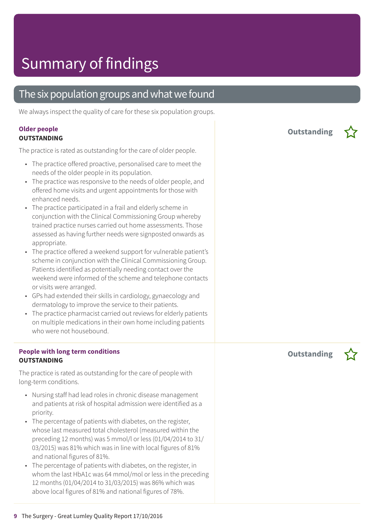### The six population groups and what we found

We always inspect the quality of care for these six population groups.

#### **Older people OUTSTANDING**

The practice is rated as outstanding for the care of older people.

- The practice offered proactive, personalised care to meet the needs of the older people in its population.
- The practice was responsive to the needs of older people, and offered home visits and urgent appointments for those with enhanced needs.
- The practice participated in a frail and elderly scheme in conjunction with the Clinical Commissioning Group whereby trained practice nurses carried out home assessments. Those assessed as having further needs were signposted onwards as appropriate.
- The practice offered a weekend support for vulnerable patient's scheme in conjunction with the Clinical Commissioning Group. Patients identified as potentially needing contact over the weekend were informed of the scheme and telephone contacts or visits were arranged.
- GPs had extended their skills in cardiology, gynaecology and dermatology to improve the service to their patients.
- The practice pharmacist carried out reviews for elderly patients on multiple medications in their own home including patients who were not housebound.

### **People with long term conditions OUTSTANDING**

The practice is rated as outstanding for the care of people with long-term conditions.

- Nursing staff had lead roles in chronic disease management and patients at risk of hospital admission were identified as a priority.
- The percentage of patients with diabetes, on the register, whose last measured total cholesterol (measured within the preceding 12 months) was 5 mmol/l or less (01/04/2014 to 31/ 03/2015) was 81% which was in line with local figures of 81% and national figures of 81%.
- The percentage of patients with diabetes, on the register, in whom the last HbA1c was 64 mmol/mol or less in the preceding 12 months (01/04/2014 to 31/03/2015) was 86% which was above local figures of 81% and national figures of 78%.

**Outstanding –**

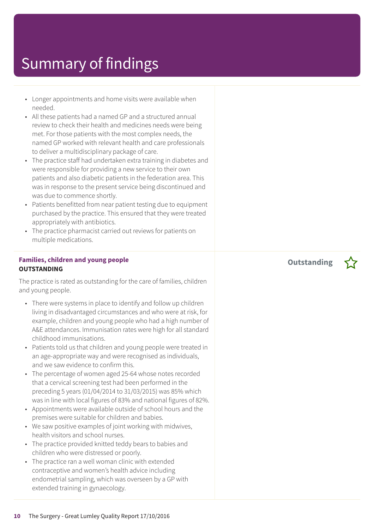- Longer appointments and home visits were available when needed.
- All these patients had a named GP and a structured annual review to check their health and medicines needs were being met. For those patients with the most complex needs, the named GP worked with relevant health and care professionals to deliver a multidisciplinary package of care.
- The practice staff had undertaken extra training in diabetes and were responsible for providing a new service to their own patients and also diabetic patients in the federation area. This was in response to the present service being discontinued and was due to commence shortly.
- Patients benefitted from near patient testing due to equipment purchased by the practice. This ensured that they were treated appropriately with antibiotics.
- The practice pharmacist carried out reviews for patients on multiple medications.

#### **Families, children and young people OUTSTANDING**

The practice is rated as outstanding for the care of families, children and young people.

- There were systems in place to identify and follow up children living in disadvantaged circumstances and who were at risk, for example, children and young people who had a high number of A&E attendances. Immunisation rates were high for all standard childhood immunisations.
- Patients told us that children and young people were treated in an age-appropriate way and were recognised as individuals, and we saw evidence to confirm this.
- The percentage of women aged 25-64 whose notes recorded that a cervical screening test had been performed in the preceding 5 years (01/04/2014 to 31/03/2015) was 85% which was in line with local figures of 83% and national figures of 82%.
- Appointments were available outside of school hours and the premises were suitable for children and babies.
- We saw positive examples of joint working with midwives, health visitors and school nurses.
- The practice provided knitted teddy bears to babies and children who were distressed or poorly.
- The practice ran a well woman clinic with extended contraceptive and women's health advice including endometrial sampling, which was overseen by a GP with extended training in gynaecology.

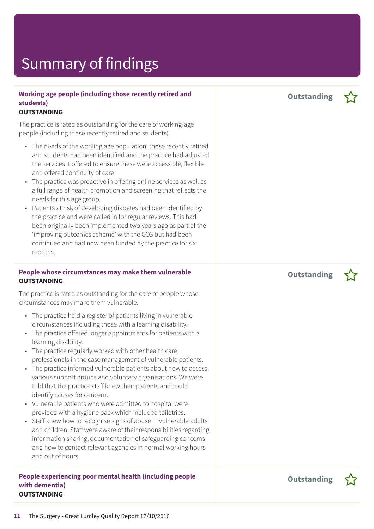### **Working age people (including those recently retired and students)**

### **OUTSTANDING**

The practice is rated as outstanding for the care of working-age people (including those recently retired and students).

- The needs of the working age population, those recently retired and students had been identified and the practice had adjusted the services it offered to ensure these were accessible, flexible and offered continuity of care.
- The practice was proactive in offering online services as well as a full range of health promotion and screening that reflects the needs for this age group.
- Patients at risk of developing diabetes had been identified by the practice and were called in for regular reviews. This had been originally been implemented two years ago as part of the 'improving outcomes scheme' with the CCG but had been continued and had now been funded by the practice for six months.

#### **People whose circumstances may make them vulnerable OUTSTANDING**

The practice is rated as outstanding for the care of people whose circumstances may make them vulnerable.

- The practice held a register of patients living in vulnerable circumstances including those with a learning disability.
- The practice offered longer appointments for patients with a learning disability.
- The practice regularly worked with other health care professionals in the case management of vulnerable patients.
- The practice informed vulnerable patients about how to access various support groups and voluntary organisations. We were told that the practice staff knew their patients and could identify causes for concern.
- Vulnerable patients who were admitted to hospital were provided with a hygiene pack which included toiletries.
- Staff knew how to recognise signs of abuse in vulnerable adults and children. Staff were aware of their responsibilities regarding information sharing, documentation of safeguarding concerns and how to contact relevant agencies in normal working hours and out of hours.

**People experiencing poor mental health (including people with dementia) OUTSTANDING**

**Outstanding –**





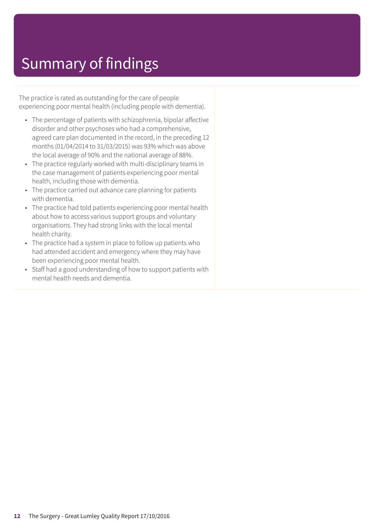The practice is rated as outstanding for the care of people experiencing poor mental health (including people with dementia).

- The percentage of patients with schizophrenia, bipolar affective disorder and other psychoses who had a comprehensive, agreed care plan documented in the record, in the preceding 12 months (01/04/2014 to 31/03/2015) was 93% which was above the local average of 90% and the national average of 88%.
- The practice regularly worked with multi-disciplinary teams in the case management of patients experiencing poor mental health, including those with dementia.
- The practice carried out advance care planning for patients with dementia.
- The practice had told patients experiencing poor mental health about how to access various support groups and voluntary organisations. They had strong links with the local mental health charity.
- The practice had a system in place to follow up patients who had attended accident and emergency where they may have been experiencing poor mental health.
- Staff had a good understanding of how to support patients with mental health needs and dementia.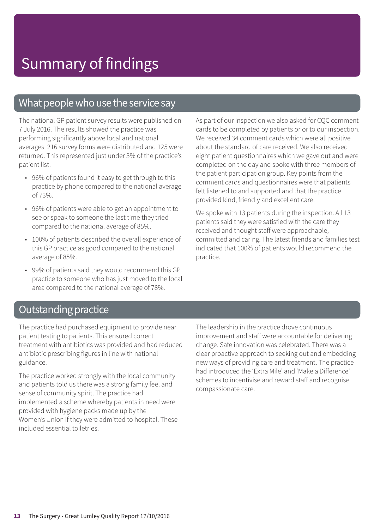### What people who use the service say

The national GP patient survey results were published on 7 July 2016. The results showed the practice was performing significantly above local and national averages. 216 survey forms were distributed and 125 were returned. This represented just under 3% of the practice's patient list.

- 96% of patients found it easy to get through to this practice by phone compared to the national average of 73%.
- 96% of patients were able to get an appointment to see or speak to someone the last time they tried compared to the national average of 85%.
- 100% of patients described the overall experience of this GP practice as good compared to the national average of 85%.
- 99% of patients said they would recommend this GP practice to someone who has just moved to the local area compared to the national average of 78%.

As part of our inspection we also asked for CQC comment cards to be completed by patients prior to our inspection. We received 34 comment cards which were all positive about the standard of care received. We also received eight patient questionnaires which we gave out and were completed on the day and spoke with three members of the patient participation group. Key points from the comment cards and questionnaires were that patients felt listened to and supported and that the practice provided kind, friendly and excellent care.

We spoke with 13 patients during the inspection. All 13 patients said they were satisfied with the care they received and thought staff were approachable, committed and caring. The latest friends and families test indicated that 100% of patients would recommend the practice.

### **Outstanding practice**

The practice had purchased equipment to provide near patient testing to patients. This ensured correct treatment with antibiotics was provided and had reduced antibiotic prescribing figures in line with national guidance.

The practice worked strongly with the local community and patients told us there was a strong family feel and sense of community spirit. The practice had implemented a scheme whereby patients in need were provided with hygiene packs made up by the Women's Union if they were admitted to hospital. These included essential toiletries.

The leadership in the practice drove continuous improvement and staff were accountable for delivering change. Safe innovation was celebrated. There was a clear proactive approach to seeking out and embedding new ways of providing care and treatment. The practice had introduced the 'Extra Mile' and 'Make a Difference' schemes to incentivise and reward staff and recognise compassionate care.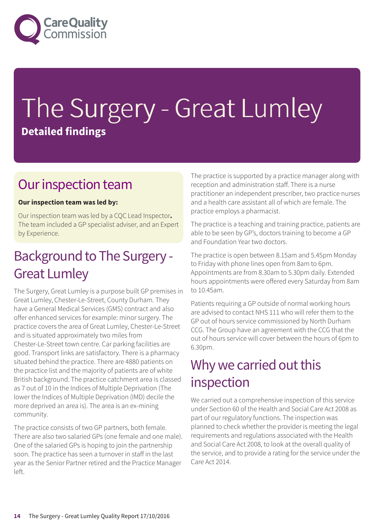

# The Surgery - Great Lumley **Detailed findings**

### Our inspection team

### **Our inspection team was led by:**

Our inspection team was led by a CQC Lead Inspector**.** The team included a GP specialist adviser, and an Expert by Experience.

### Background to The Surgery -Great Lumley

The Surgery, Great Lumley is a purpose built GP premises in Great Lumley, Chester-Le-Street, County Durham. They have a General Medical Services (GMS) contract and also offer enhanced services for example: minor surgery. The practice covers the area of Great Lumley, Chester-Le-Street and is situated approximately two miles from Chester-Le-Street town centre. Car parking facilities are good. Transport links are satisfactory. There is a pharmacy situated behind the practice. There are 4880 patients on the practice list and the majority of patients are of white British background. The practice catchment area is classed as 7 out of 10 in the Indices of Multiple Deprivation (The lower the Indices of Multiple Deprivation (IMD) decile the more deprived an area is). The area is an ex-mining community.

The practice consists of two GP partners, both female. There are also two salaried GPs (one female and one male). One of the salaried GPs is hoping to join the partnership soon. The practice has seen a turnover in staff in the last year as the Senior Partner retired and the Practice Manager left.

The practice is supported by a practice manager along with reception and administration staff. There is a nurse practitioner an independent prescriber, two practice nurses and a health care assistant all of which are female. The practice employs a pharmacist.

The practice is a teaching and training practice, patients are able to be seen by GP's, doctors training to become a GP and Foundation Year two doctors.

The practice is open between 8.15am and 5.45pm Monday to Friday with phone lines open from 8am to 6pm. Appointments are from 8.30am to 5.30pm daily. Extended hours appointments were offered every Saturday from 8am to 10.45am.

Patients requiring a GP outside of normal working hours are advised to contact NHS 111 who will refer them to the GP out of hours service commissioned by North Durham CCG. The Group have an agreement with the CCG that the out of hours service will cover between the hours of 6pm to 6.30pm.

### Why we carried out this inspection

We carried out a comprehensive inspection of this service under Section 60 of the Health and Social Care Act 2008 as part of our regulatory functions. The inspection was planned to check whether the provider is meeting the legal requirements and regulations associated with the Health and Social Care Act 2008, to look at the overall quality of the service, and to provide a rating for the service under the Care Act 2014.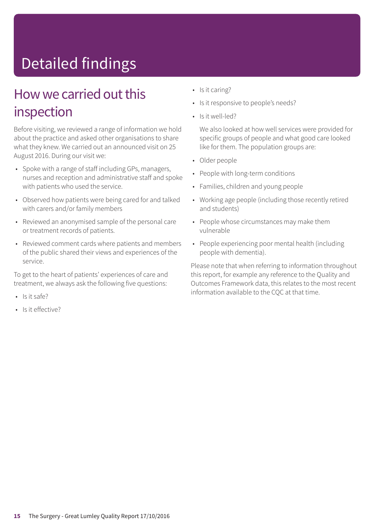# Detailed findings

### How we carried out this inspection

Before visiting, we reviewed a range of information we hold about the practice and asked other organisations to share what they knew. We carried out an announced visit on 25 August 2016. During our visit we:

- Spoke with a range of staff including GPs, managers, nurses and reception and administrative staff and spoke with patients who used the service.
- Observed how patients were being cared for and talked with carers and/or family members
- Reviewed an anonymised sample of the personal care or treatment records of patients.
- Reviewed comment cards where patients and members of the public shared their views and experiences of the service.

To get to the heart of patients' experiences of care and treatment, we always ask the following five questions:

- Is it safe?
- Is it effective?
- Is it caring?
- Is it responsive to people's needs?
- Is it well-led?

We also looked at how well services were provided for specific groups of people and what good care looked like for them. The population groups are:

- Older people
- People with long-term conditions
- Families, children and young people
- Working age people (including those recently retired and students)
- People whose circumstances may make them vulnerable
- People experiencing poor mental health (including people with dementia).

Please note that when referring to information throughout this report, for example any reference to the Quality and Outcomes Framework data, this relates to the most recent information available to the CQC at that time.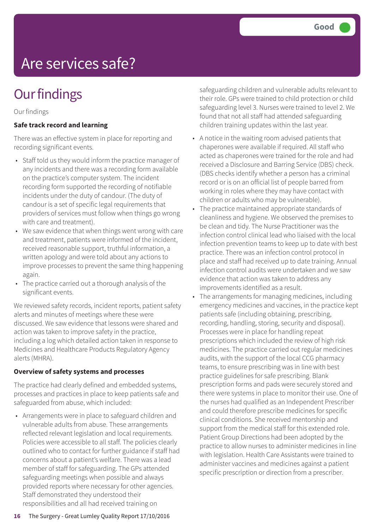# Are services safe?

## **Our findings**

Our findings

### **Safe track record and learning**

There was an effective system in place for reporting and recording significant events.

- Staff told us they would inform the practice manager of any incidents and there was a recording form available on the practice's computer system. The incident recording form supported the recording of notifiable incidents under the duty of candour. (The duty of candour is a set of specific legal requirements that providers of services must follow when things go wrong with care and treatment).
- We saw evidence that when things went wrong with care and treatment, patients were informed of the incident, received reasonable support, truthful information, a written apology and were told about any actions to improve processes to prevent the same thing happening again.
- The practice carried out a thorough analysis of the significant events.

We reviewed safety records, incident reports, patient safety alerts and minutes of meetings where these were discussed. We saw evidence that lessons were shared and action was taken to improve safety in the practice, including a log which detailed action taken in response to Medicines and Healthcare Products Regulatory Agency alerts (MHRA).

### **Overview of safety systems and processes**

The practice had clearly defined and embedded systems, processes and practices in place to keep patients safe and safeguarded from abuse, which included:

• Arrangements were in place to safeguard children and vulnerable adults from abuse. These arrangements reflected relevant legislation and local requirements. Policies were accessible to all staff. The policies clearly outlined who to contact for further guidance if staff had concerns about a patient's welfare. There was a lead member of staff for safeguarding. The GPs attended safeguarding meetings when possible and always provided reports where necessary for other agencies. Staff demonstrated they understood their responsibilities and all had received training on

safeguarding children and vulnerable adults relevant to their role. GPs were trained to child protection or child safeguarding level 3. Nurses were trained to level 2. We found that not all staff had attended safeguarding children training updates within the last year.

- A notice in the waiting room advised patients that chaperones were available if required. All staff who acted as chaperones were trained for the role and had received a Disclosure and Barring Service (DBS) check. (DBS checks identify whether a person has a criminal record or is on an official list of people barred from working in roles where they may have contact with children or adults who may be vulnerable).
- The practice maintained appropriate standards of cleanliness and hygiene. We observed the premises to be clean and tidy. The Nurse Practitioner was the infection control clinical lead who liaised with the local infection prevention teams to keep up to date with best practice. There was an infection control protocol in place and staff had received up to date training. Annual infection control audits were undertaken and we saw evidence that action was taken to address any improvements identified as a result.
- The arrangements for managing medicines, including emergency medicines and vaccines, in the practice kept patients safe (including obtaining, prescribing, recording, handling, storing, security and disposal). Processes were in place for handling repeat prescriptions which included the review of high risk medicines. The practice carried out regular medicines audits, with the support of the local CCG pharmacy teams, to ensure prescribing was in line with best practice guidelines for safe prescribing. Blank prescription forms and pads were securely stored and there were systems in place to monitor their use. One of the nurses had qualified as an Independent Prescriber and could therefore prescribe medicines for specific clinical conditions. She received mentorship and support from the medical staff for this extended role. Patient Group Directions had been adopted by the practice to allow nurses to administer medicines in line with legislation. Health Care Assistants were trained to administer vaccines and medicines against a patient specific prescription or direction from a prescriber.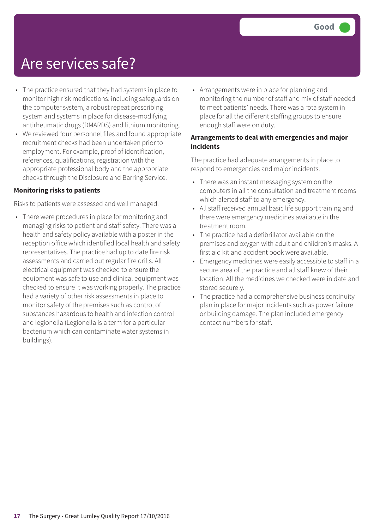### Are services safe?

- The practice ensured that they had systems in place to monitor high risk medications: including safeguards on the computer system, a robust repeat prescribing system and systems in place for disease-modifying antirheumatic drugs (DMARDS) and lithium monitoring.
- We reviewed four personnel files and found appropriate recruitment checks had been undertaken prior to employment. For example, proof of identification, references, qualifications, registration with the appropriate professional body and the appropriate checks through the Disclosure and Barring Service.

#### **Monitoring risks to patients**

Risks to patients were assessed and well managed.

• There were procedures in place for monitoring and managing risks to patient and staff safety. There was a health and safety policy available with a poster in the reception office which identified local health and safety representatives. The practice had up to date fire risk assessments and carried out regular fire drills. All electrical equipment was checked to ensure the equipment was safe to use and clinical equipment was checked to ensure it was working properly. The practice had a variety of other risk assessments in place to monitor safety of the premises such as control of substances hazardous to health and infection control and legionella (Legionella is a term for a particular bacterium which can contaminate water systems in buildings).

• Arrangements were in place for planning and monitoring the number of staff and mix of staff needed to meet patients' needs. There was a rota system in place for all the different staffing groups to ensure enough staff were on duty.

### **Arrangements to deal with emergencies and major incidents**

The practice had adequate arrangements in place to respond to emergencies and major incidents.

- There was an instant messaging system on the computers in all the consultation and treatment rooms which alerted staff to any emergency.
- All staff received annual basic life support training and there were emergency medicines available in the treatment room.
- The practice had a defibrillator available on the premises and oxygen with adult and children's masks. A first aid kit and accident book were available.
- Emergency medicines were easily accessible to staff in a secure area of the practice and all staff knew of their location. All the medicines we checked were in date and stored securely.
- The practice had a comprehensive business continuity plan in place for major incidents such as power failure or building damage. The plan included emergency contact numbers for staff.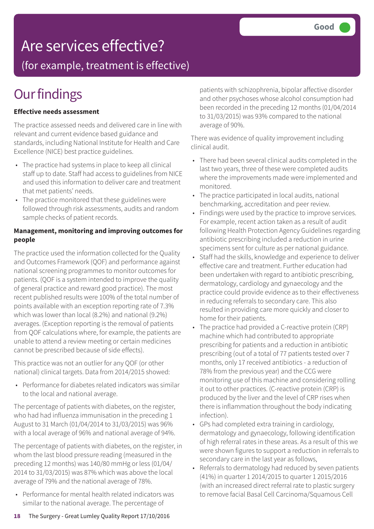### Are services effective?

(for example, treatment is effective)

## **Our findings**

### **Effective needs assessment**

The practice assessed needs and delivered care in line with relevant and current evidence based guidance and standards, including National Institute for Health and Care Excellence (NICE) best practice guidelines.

- The practice had systems in place to keep all clinical staff up to date. Staff had access to guidelines from NICE and used this information to deliver care and treatment that met patients' needs.
- The practice monitored that these guidelines were followed through risk assessments, audits and random sample checks of patient records.

### **Management, monitoring and improving outcomes for people**

The practice used the information collected for the Quality and Outcomes Framework (QOF) and performance against national screening programmes to monitor outcomes for patients. (QOF is a system intended to improve the quality of general practice and reward good practice). The most recent published results were 100% of the total number of points available with an exception reporting rate of 7.3% which was lower than local (8.2%) and national (9.2%) averages. (Exception reporting is the removal of patients from QOF calculations where, for example, the patients are unable to attend a review meeting or certain medicines cannot be prescribed because of side effects).

This practice was not an outlier for any QOF (or other national) clinical targets. Data from 2014/2015 showed:

• Performance for diabetes related indicators was similar to the local and national average.

The percentage of patients with diabetes, on the register, who had had influenza immunisation in the preceding 1 August to 31 March (01/04/2014 to 31/03/2015) was 96% with a local average of 96% and national average of 94%.

The percentage of patients with diabetes, on the register, in whom the last blood pressure reading (measured in the preceding 12 months) was 140/80 mmHg or less (01/04/ 2014 to 31/03/2015) was 87% which was above the local average of 79% and the national average of 78%.

• Performance for mental health related indicators was similar to the national average. The percentage of

patients with schizophrenia, bipolar affective disorder and other psychoses whose alcohol consumption had been recorded in the preceding 12 months (01/04/2014 to 31/03/2015) was 93% compared to the national average of 90%.

There was evidence of quality improvement including clinical audit.

- There had been several clinical audits completed in the last two years, three of these were completed audits where the improvements made were implemented and monitored.
- The practice participated in local audits, national benchmarking, accreditation and peer review.
- Findings were used by the practice to improve services. For example, recent action taken as a result of audit following Health Protection Agency Guidelines regarding antibiotic prescribing included a reduction in urine specimens sent for culture as per national guidance.
- Staff had the skills, knowledge and experience to deliver effective care and treatment. Further education had been undertaken with regard to antibiotic prescribing, dermatology, cardiology and gynaecology and the practice could provide evidence as to their effectiveness in reducing referrals to secondary care. This also resulted in providing care more quickly and closer to home for their patients.
- The practice had provided a C-reactive protein (CRP) machine which had contributed to appropriate prescribing for patients and a reduction in antibiotic prescribing (out of a total of 77 patients tested over 7 months, only 17 received antibiotics - a reduction of 78% from the previous year) and the CCG were monitoring use of this machine and considering rolling it out to other practices. (C-reactive protein (CRP) is produced by the liver and the level of CRP rises when there is inflammation throughout the body indicating infection).
- GPs had completed extra training in cardiology, dermatology and gynaecology, following identification of high referral rates in these areas. As a result of this we were shown figures to support a reduction in referrals to secondary care in the last year as follows,
- Referrals to dermatology had reduced by seven patients (41%) in quarter 1 2014/2015 to quarter 1 2015/2016 (with an increased direct referral rate to plastic surgery to remove facial Basal Cell Carcinoma/Squamous Cell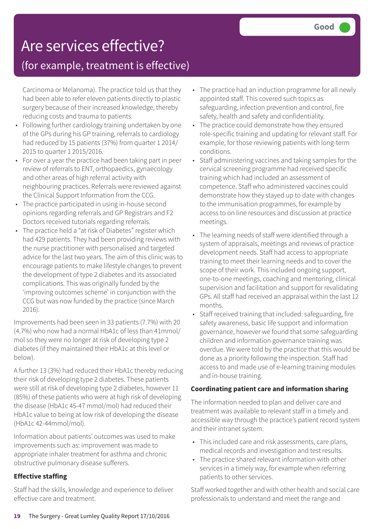## Are services effective?

### (for example, treatment is effective)

Carcinoma or Melanoma). The practice told us that they had been able to refer eleven patients directly to plastic surgery because of their increased knowledge, thereby reducing costs and trauma to patients.

- Following further cardiology training undertaken by one of the GPs during his GP training, referrals to cardiology had reduced by 15 patients (37%) from quarter 1 2014/ 2015 to quarter 1 2015/2016.
- For over a year the practice had been taking part in peer review of referrals to ENT, orthopaedics, gynaecology and other areas of high referral activity with neighbouring practices. Referrals were reviewed against the Clinical Support Information from the CCG.
- The practice participated in using in-house second opinions regarding referrals and GP Registrars and F2 Doctors received tutorials regarding referrals.
- The practice held a "at risk of Diabetes" register which had 429 patients. They had been providing reviews with the nurse practitioner with personalised and targeted advice for the last two years. The aim of this clinic was to encourage patients to make lifestyle changes to prevent the development of type 2 diabetes and its associated complications. This was originally funded by the 'improving outcomes scheme' in conjunction with the CCG but was now funded by the practice (since March 2016).

Improvements had been seen in 33 patients (7.7%) with 20 (4.7%) who now had a normal HbA1c of less than 41mmol/ mol so they were no longer at risk of developing type 2 diabetes (if they maintained their HbA1c at this level or below).

A further 13 (3%) had reduced their HbA1c thereby reducing their risk of developing type 2 diabetes. These patients were still at risk of developing type 2 diabetes, however 11 (85%) of these patients who were at high risk of developing the disease (HbA1c 45-47 mmol/mol) had reduced their HbA1c value to being at low risk of developing the disease (HbA1c 42-44mmol/mol).

Information about patients' outcomes was used to make improvements such as: improvement was made to appropriate inhaler treatment for asthma and chronic obstructive pulmonary disease sufferers.

### **Effective staffing**

Staff had the skills, knowledge and experience to deliver effective care and treatment.

- The practice had an induction programme for all newly appointed staff. This covered such topics as safeguarding, infection prevention and control, fire safety, health and safety and confidentiality.
- The practice could demonstrate how they ensured role-specific training and updating for relevant staff. For example, for those reviewing patients with long-term conditions.
- Staff administering vaccines and taking samples for the cervical screening programme had received specific training which had included an assessment of competence. Staff who administered vaccines could demonstrate how they stayed up to date with changes to the immunisation programmes, for example by access to on line resources and discussion at practice meetings.
- The learning needs of staff were identified through a system of appraisals, meetings and reviews of practice development needs. Staff had access to appropriate training to meet their learning needs and to cover the scope of their work. This included ongoing support, one-to-one meetings, coaching and mentoring, clinical supervision and facilitation and support for revalidating GPs. All staff had received an appraisal within the last 12 months.
- Staff received training that included: safeguarding, fire safety awareness, basic life support and information governance, however we found that some safeguarding children and information governance training was overdue. We were told by the practice that this would be done as a priority following the inspection. Staff had access to and made use of e-learning training modules and in-house training.

### **Coordinating patient care and information sharing**

The information needed to plan and deliver care and treatment was available to relevant staff in a timely and accessible way through the practice's patient record system and their intranet system.

- This included care and risk assessments, care plans, medical records and investigation and test results.
- The practice shared relevant information with other services in a timely way, for example when referring patients to other services.

Staff worked together and with other health and social care professionals to understand and meet the range and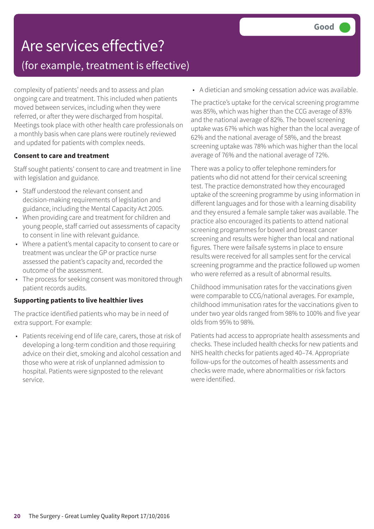## Are services effective? (for example, treatment is effective)

complexity of patients' needs and to assess and plan ongoing care and treatment. This included when patients moved between services, including when they were referred, or after they were discharged from hospital. Meetings took place with other health care professionals on a monthly basis when care plans were routinely reviewed and updated for patients with complex needs.

### **Consent to care and treatment**

Staff sought patients' consent to care and treatment in line with legislation and guidance.

- Staff understood the relevant consent and decision-making requirements of legislation and guidance, including the Mental Capacity Act 2005.
- When providing care and treatment for children and young people, staff carried out assessments of capacity to consent in line with relevant guidance.
- Where a patient's mental capacity to consent to care or treatment was unclear the GP or practice nurse assessed the patient's capacity and, recorded the outcome of the assessment.
- The process for seeking consent was monitored through patient records audits.

### **Supporting patients to live healthier lives**

The practice identified patients who may be in need of extra support. For example:

• Patients receiving end of life care, carers, those at risk of developing a long-term condition and those requiring advice on their diet, smoking and alcohol cessation and those who were at risk of unplanned admission to hospital. Patients were signposted to the relevant service.

• A dietician and smoking cessation advice was available.

The practice's uptake for the cervical screening programme was 85%, which was higher than the CCG average of 83% and the national average of 82%. The bowel screening uptake was 67% which was higher than the local average of 62% and the national average of 58%, and the breast screening uptake was 78% which was higher than the local average of 76% and the national average of 72%.

There was a policy to offer telephone reminders for patients who did not attend for their cervical screening test. The practice demonstrated how they encouraged uptake of the screening programme by using information in different languages and for those with a learning disability and they ensured a female sample taker was available. The practice also encouraged its patients to attend national screening programmes for bowel and breast cancer screening and results were higher than local and national figures. There were failsafe systems in place to ensure results were received for all samples sent for the cervical screening programme and the practice followed up women who were referred as a result of abnormal results.

Childhood immunisation rates for the vaccinations given were comparable to CCG/national averages. For example, childhood immunisation rates for the vaccinations given to under two year olds ranged from 98% to 100% and five year olds from 95% to 98%.

Patients had access to appropriate health assessments and checks. These included health checks for new patients and NHS health checks for patients aged 40–74. Appropriate follow-ups for the outcomes of health assessments and checks were made, where abnormalities or risk factors were identified.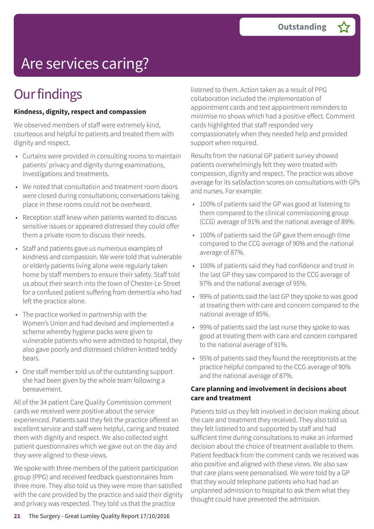# Are services caring?

## **Our findings**

### **Kindness, dignity, respect and compassion**

We observed members of staff were extremely kind, courteous and helpful to patients and treated them with dignity and respect.

- Curtains were provided in consulting rooms to maintain patients' privacy and dignity during examinations, investigations and treatments.
- We noted that consultation and treatment room doors were closed during consultations; conversations taking place in these rooms could not be overheard.
- Reception staff knew when patients wanted to discuss sensitive issues or appeared distressed they could offer them a private room to discuss their needs.
- Staff and patients gave us numerous examples of kindness and compassion. We were told that vulnerable or elderly patients living alone were regularly taken home by staff members to ensure their safety. Staff told us about their search into the town of Chester-Le-Street for a confused patient suffering from dementia who had left the practice alone.
- The practice worked in partnership with the Women's Union and had devised and implemented a scheme whereby hygiene packs were given to vulnerable patients who were admitted to hospital, they also gave poorly and distressed children knitted teddy bears.
- One staff member told us of the outstanding support she had been given by the whole team following a bereavement.

All of the 34 patient Care Quality Commission comment cards we received were positive about the service experienced. Patients said they felt the practice offered an excellent service and staff were helpful, caring and treated them with dignity and respect. We also collected eight patient questionnaires which we gave out on the day and they were aligned to these views.

We spoke with three members of the patient participation group (PPG) and received feedback questionnaires from three more. They also told us they were more than satisfied with the care provided by the practice and said their dignity and privacy was respected. They told us that the practice

listened to them. Action taken as a result of PPG collaboration included the implementation of appointment cards and text appointment reminders to minimise no shows which had a positive effect. Comment cards highlighted that staff responded very compassionately when they needed help and provided support when required.

Results from the national GP patient survey showed patients overwhelmingly felt they were treated with compassion, dignity and respect. The practice was above average for its satisfaction scores on consultations with GPs and nurses. For example:

- 100% of patients said the GP was good at listening to them compared to the clinical commissioning group (CCG) average of 91% and the national average of 89%.
- 100% of patients said the GP gave them enough time compared to the CCG average of 90% and the national average of 87%.
- 100% of patients said they had confidence and trust in the last GP they saw compared to the CCG average of 97% and the national average of 95%.
- 99% of patients said the last GP they spoke to was good at treating them with care and concern compared to the national average of 85%.
- 99% of patients said the last nurse they spoke to was good at treating them with care and concern compared to the national average of 91%.
- 95% of patients said they found the receptionists at the practice helpful compared to the CCG average of 90% and the national average of 87%.

### **Care planning and involvement in decisions about care and treatment**

Patients told us they felt involved in decision making about the care and treatment they received. They also told us they felt listened to and supported by staff and had sufficient time during consultations to make an informed decision about the choice of treatment available to them. Patient feedback from the comment cards we received was also positive and aligned with these views. We also saw that care plans were personalised. We were told by a GP that they would telephone patients who had had an unplanned admission to hospital to ask them what they thought could have prevented the admission.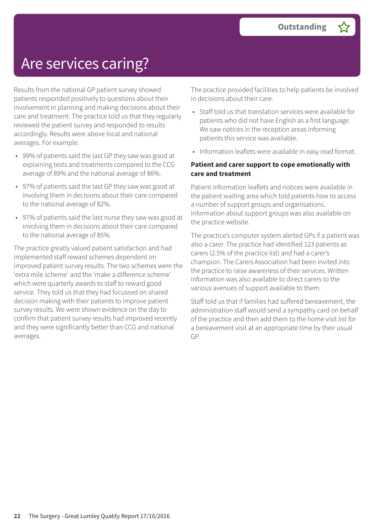### Are services caring?

Results from the national GP patient survey showed patients responded positively to questions about their involvement in planning and making decisions about their care and treatment. The practice told us that they regularly reviewed the patient survey and responded to results accordingly. Results were above local and national averages. For example:

- 99% of patients said the last GP they saw was good at explaining tests and treatments compared to the CCG average of 89% and the national average of 86%.
- 97% of patients said the last GP they saw was good at involving them in decisions about their care compared to the national average of 82%.
- 97% of patients said the last nurse they saw was good at involving them in decisions about their care compared to the national average of 85%.

The practice greatly valued patient satisfaction and had implemented staff reward schemes dependent on improved patient survey results. The two schemes were the 'extra mile scheme' and the 'make a difference scheme' which were quarterly awards to staff to reward good service. They told us that they had focussed on shared decision making with their patients to improve patient survey results. We were shown evidence on the day to confirm that patient survey results had improved recently and they were significantly better than CCG and national averages.

The practice provided facilities to help patients be involved in decisions about their care:

- Staff told us that translation services were available for patients who did not have English as a first language. We saw notices in the reception areas informing patients this service was available.
- Information leaflets were available in easy read format.

#### **Patient and carer support to cope emotionally with care and treatment**

Patient information leaflets and notices were available in the patient waiting area which told patients how to access a number of support groups and organisations. Information about support groups was also available on the practice website.

The practice's computer system alerted GPs if a patient was also a carer. The practice had identified 123 patients as carers (2.5% of the practice list) and had a carer's champion. The Carers Association had been invited into the practice to raise awareness of their services. Written information was also available to direct carers to the various avenues of support available to them.

Staff told us that if families had suffered bereavement, the administration staff would send a sympathy card on behalf of the practice and then add them to the home visit list for a bereavement visit at an appropriate time by their usual GP.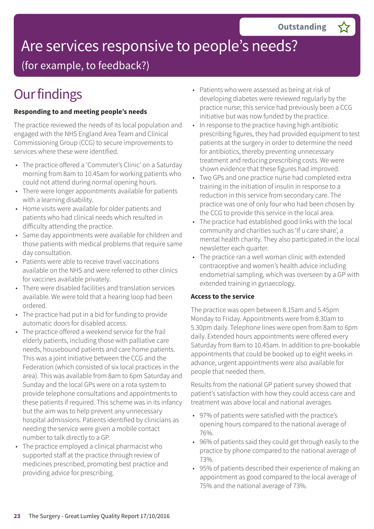# Are services responsive to people's needs?

(for example, to feedback?)

# **Our findings**

### **Responding to and meeting people's needs**

The practice reviewed the needs of its local population and engaged with the NHS England Area Team and Clinical Commissioning Group (CCG) to secure improvements to services where these were identified.

- The practice offered a 'Commuter's Clinic' on a Saturday morning from 8am to 10.45am for working patients who could not attend during normal opening hours.
- There were longer appointments available for patients with a learning disability.
- Home visits were available for older patients and patients who had clinical needs which resulted in difficulty attending the practice.
- Same day appointments were available for children and those patients with medical problems that require same day consultation.
- Patients were able to receive travel vaccinations available on the NHS and were referred to other clinics for vaccines available privately.
- There were disabled facilities and translation services available. We were told that a hearing loop had been ordered.
- The practice had put in a bid for funding to provide automatic doors for disabled access.
- The practice offered a weekend service for the frail elderly patients, including those with palliative care needs, housebound patients and care home patients. This was a joint initiative between the CCG and the Federation (which consisted of six local practices in the area). This was available from 8am to 6pm Saturday and Sunday and the local GPs were on a rota system to provide telephone consultations and appointments to these patients if required. This scheme was in its infancy but the aim was to help prevent any unnecessary hospital admissions. Patients identified by clinicians as needing the service were given a mobile contact number to talk directly to a GP.
- The practice employed a clinical pharmacist who supported staff at the practice through review of medicines prescribed, promoting best practice and providing advice for prescribing.
- Patients who were assessed as being at risk of developing diabetes were reviewed regularly by the practice nurse; this service had previously been a CCG initiative but was now funded by the practice.
- In response to the practice having high antibiotic prescribing figures, they had provided equipment to test patients at the surgery in order to determine the need for antibiotics, thereby preventing unnecessary treatment and reducing prescribing costs. We were shown evidence that these figures had improved.
- Two GPs and one practice nurse had completed extra training in the initiation of insulin in response to a reduction in this service from secondary care. The practice was one of only four who had been chosen by the CCG to provide this service in the local area.
- The practice had established good links with the local community and charities such as 'If u care share', a mental health charity. They also participated in the local newsletter each quarter.
- The practice ran a well woman clinic with extended contraceptive and women's health advice including endometrial sampling, which was overseen by a GP with extended training in gynaecology.

### **Access to the service**

The practice was open between 8.15am and 5.45pm Monday to Friday. Appointments were from 8.30am to 5.30pm daily. Telephone lines were open from 8am to 6pm daily. Extended hours appointments were offered every Saturday from 8am to 10.45am. In addition to pre-bookable appointments that could be booked up to eight weeks in advance, urgent appointments were also available for people that needed them.

Results from the national GP patient survey showed that patient's satisfaction with how they could access care and treatment was above local and national averages.

- 97% of patients were satisfied with the practice's opening hours compared to the national average of 76%.
- 96% of patients said they could get through easily to the practice by phone compared to the national average of 73%.
- 95% of patients described their experience of making an appointment as good compared to the local average of 75% and the national average of 73%.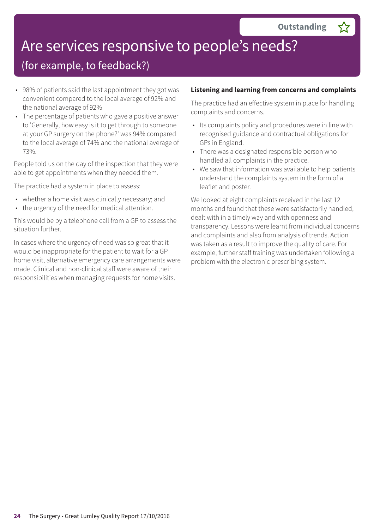# Are services responsive to people's needs?

### (for example, to feedback?)

- 98% of patients said the last appointment they got was convenient compared to the local average of 92% and the national average of 92%
- The percentage of patients who gave a positive answer to 'Generally, how easy is it to get through to someone at your GP surgery on the phone?' was 94% compared to the local average of 74% and the national average of 73%.

People told us on the day of the inspection that they were able to get appointments when they needed them.

The practice had a system in place to assess:

- whether a home visit was clinically necessary; and
- the urgency of the need for medical attention.

This would be by a telephone call from a GP to assess the situation further.

In cases where the urgency of need was so great that it would be inappropriate for the patient to wait for a GP home visit, alternative emergency care arrangements were made. Clinical and non-clinical staff were aware of their responsibilities when managing requests for home visits.

### **Listening and learning from concerns and complaints**

The practice had an effective system in place for handling complaints and concerns.

- Its complaints policy and procedures were in line with recognised guidance and contractual obligations for GPs in England.
- There was a designated responsible person who handled all complaints in the practice.
- We saw that information was available to help patients understand the complaints system in the form of a leaflet and poster.

We looked at eight complaints received in the last 12 months and found that these were satisfactorily handled, dealt with in a timely way and with openness and transparency. Lessons were learnt from individual concerns and complaints and also from analysis of trends. Action was taken as a result to improve the quality of care. For example, further staff training was undertaken following a problem with the electronic prescribing system.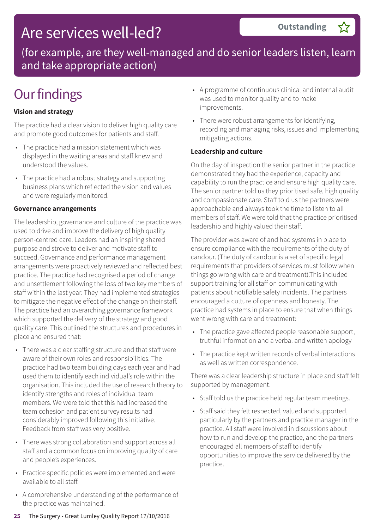(for example, are they well-managed and do senior leaders listen, learn and take appropriate action)

## **Our findings**

### **Vision and strategy**

The practice had a clear vision to deliver high quality care and promote good outcomes for patients and staff.

- The practice had a mission statement which was displayed in the waiting areas and staff knew and understood the values.
- The practice had a robust strategy and supporting business plans which reflected the vision and values and were regularly monitored.

### **Governance arrangements**

The leadership, governance and culture of the practice was used to drive and improve the delivery of high quality person-centred care. Leaders had an inspiring shared purpose and strove to deliver and motivate staff to succeed. Governance and performance management arrangements were proactively reviewed and reflected best practice. The practice had recognised a period of change and unsettlement following the loss of two key members of staff within the last year. They had implemented strategies to mitigate the negative effect of the change on their staff. The practice had an overarching governance framework which supported the delivery of the strategy and good quality care. This outlined the structures and procedures in place and ensured that:

- There was a clear staffing structure and that staff were aware of their own roles and responsibilities. The practice had two team building days each year and had used them to identify each individual's role within the organisation. This included the use of research theory to identify strengths and roles of individual team members. We were told that this had increased the team cohesion and patient survey results had considerably improved following this initiative. Feedback from staff was very positive.
- There was strong collaboration and support across all staff and a common focus on improving quality of care and people's experiences.
- Practice specific policies were implemented and were available to all staff.
- A comprehensive understanding of the performance of the practice was maintained.

• A programme of continuous clinical and internal audit was used to monitor quality and to make improvements.

**Outstanding –**

• There were robust arrangements for identifying, recording and managing risks, issues and implementing mitigating actions.

### **Leadership and culture**

On the day of inspection the senior partner in the practice demonstrated they had the experience, capacity and capability to run the practice and ensure high quality care. The senior partner told us they prioritised safe, high quality and compassionate care. Staff told us the partners were approachable and always took the time to listen to all members of staff. We were told that the practice prioritised leadership and highly valued their staff.

The provider was aware of and had systems in place to ensure compliance with the requirements of the duty of candour. (The duty of candour is a set of specific legal requirements that providers of services must follow when things go wrong with care and treatment).This included support training for all staff on communicating with patients about notifiable safety incidents. The partners encouraged a culture of openness and honesty. The practice had systems in place to ensure that when things went wrong with care and treatment:

- The practice gave affected people reasonable support, truthful information and a verbal and written apology
- The practice kept written records of verbal interactions as well as written correspondence.

There was a clear leadership structure in place and staff felt supported by management.

- Staff told us the practice held regular team meetings.
- Staff said they felt respected, valued and supported, particularly by the partners and practice manager in the practice. All staff were involved in discussions about how to run and develop the practice, and the partners encouraged all members of staff to identify opportunities to improve the service delivered by the practice.